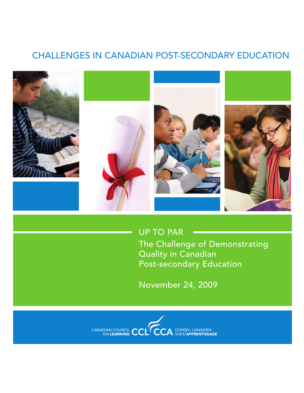# Challenges in CANADIAN Post-secondary Education



Up to Par

The Challenge of Demonstrating Quality in Canadian Post-secondary Education

November 24, 2009

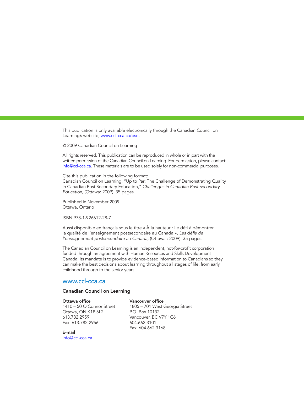This publication is only available electronically through the Canadian Council on Learning's website, www.ccl-cca.ca/pse.

© 2009 Canadian Council on Learning

All rights reserved. This publication can be reproduced in whole or in part with the written permission of the Canadian Council on Learning. For permission, please contact: info@ccl-cca.ca. These materials are to be used solely for non-commercial purposes.

Cite this publication in the following format:

Canadian Council on Learning, "Up to Par: The Challenge of Demonstrating Quality in Canadian Post Secondary Education," *Challenges in Canadian Post-secondary Education,* (Ottawa: 2009). 35 pages.

Published in November 2009. Ottawa, Ontario

ISBN 978-1-926612-28-7

Aussi disponible en français sous le titre « À la hauteur : Le défi à démontrer la qualité de l'enseignement postsecondaire au Canada », *Les défis de l'enseignement postsecondaire au Canada,* (Ottawa : 2009). 35 pages.

The Canadian Council on Learning is an independent, not-for-profit corporation funded through an agreement with Human Resources and Skills Development Canada. Its mandate is to provide evidence-based information to Canadians so they can make the best decisions about learning throughout all stages of life, from early childhood through to the senior years.

#### www.ccl-cca.ca

#### Canadian Council on Learning

#### Ottawa office

1410 – 50 O'Connor Street Ottawa, ON K1P 6L2 613.782.2959 Fax: 613.782.2956

Vancouver office 1805 – 701 West Georgia Street P.O. Box 10132 Vancouver, BC V7Y 1C6 604.662.3101 Fax: 604.662.3168

E-mail info@ccl-cca.ca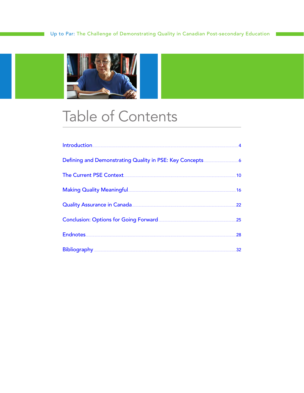

# **Table of Contents**

| Making Quality Meaningful and an annual state of the 16 million of the 16 |  |
|---------------------------------------------------------------------------|--|
| Quality Assurance in Canada <b>Commission Canada</b> 22                   |  |
|                                                                           |  |
|                                                                           |  |
|                                                                           |  |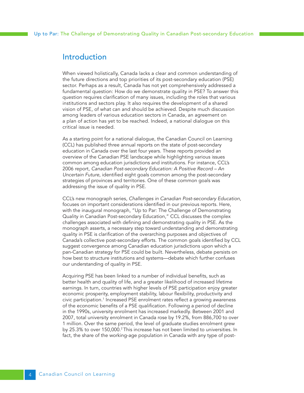### <span id="page-3-0"></span>Introduction

When viewed holistically, Canada lacks a clear and common understanding of the future directions and top priorities of its post-secondary education (PSE) sector. Perhaps as a result, Canada has not yet comprehensively addressed a fundamental question: How do we demonstrate quality in PSE? To answer this question requires clarification of many issues, including the roles that various institutions and sectors play. It also requires the development of a shared vision of PSE, of what can and should be achieved. Despite much discussion among leaders of various education sectors in Canada, an agreement on a plan of action has yet to be reached. Indeed, a national dialogue on this critical issue is needed.

As a starting point for a national dialogue, the Canadian Council on Learning (CCL) has published three annual reports on the state of post-secondary education in Canada over the last four years. These reports provided an overview of the Canadian PSE landscape while highlighting various issues common among education jurisdictions and institutions. For instance, CCL's 2006 report, *Canadian Post-secondary Education: A Positive Record―– An Uncertain Future*, identified eight goals common among the post-secondary strategies of provinces and territories. One of these common goals was addressing the issue of quality in PSE.

CCL's new monograph series, *Challenges in Canadian Post-secondary Education*, focuses on important considerations identified in our previous reports. Here, with the inaugural monograph, "Up to Par: The Challenge of Demonstrating Quality in Canadian Post-secondary Education," CCL discusses the complex challenges associated with defining and demonstrating quality in PSE. As the monograph asserts, a necessary step toward understanding and demonstrating quality in PSE is clarification of the overarching purposes and objectives of Canada's collective post-secondary efforts. The common goals identified by CCL suggest convergence among Canadian education jurisdictions upon which a pan-Canadian strategy for PSE could be built. Nevertheless, debate persists on how best to structure institutions and systems—debate which further confuses our understanding of quality in PSE.

Acquiring PSE has been linked to a number of individual benefits, such as better health and quality of life, and a greater likelihood of increased lifetime earnings. In turn, countries with higher levels of PSE participation enjoy greater economic prosperity, employment stability, labour flexibility, productivity and civic participation.<sup>1</sup> Increased PSE enrolment rates reflect a growing awareness of the economic benefits of a PSE qualification. Following a period of decline in the 1990s, university enrolment has increased markedly. Between 2001 and 2007, total university enrolment in Canada rose by 19.2%, from 886,700 to over 1 million. Over the same period, the level of graduate studies enrolment grew by 25.3% to over 150,000.<sup>2</sup> This increase has not been limited to universities. In fact, the share of the working-age population in Canada with any type of post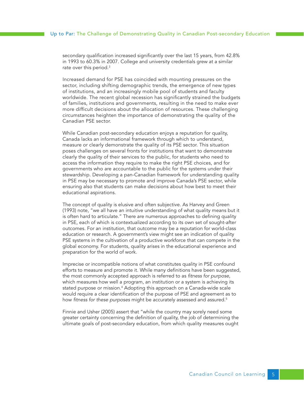secondary qualification increased significantly over the last 15 years, from 42.8% in 1993 to 60.3% in 2007. College and university credentials grew at a similar rate over this period.<sup>3</sup>

Increased demand for PSE has coincided with mounting pressures on the sector, including shifting demographic trends, the emergence of new types of institutions, and an increasingly mobile pool of students and faculty worldwide. The recent global recession has significantly strained the budgets of families, institutions and governments, resulting in the need to make ever more difficult decisions about the allocation of resources. These challenging circumstances heighten the importance of demonstrating the quality of the Canadian PSE sector.

While Canadian post-secondary education enjoys a reputation for quality, Canada lacks an informational framework through which to understand, measure or clearly demonstrate the quality of its PSE sector. This situation poses challenges on several fronts for institutions that want to demonstrate clearly the quality of their services to the public, for students who need to access the information they require to make the right PSE choices, and for governments who are accountable to the public for the systems under their stewardship. Developing a pan-Canadian framework for understanding quality in PSE may be necessary to promote and improve Canada's PSE sector, while ensuring also that students can make decisions about how best to meet their educational aspirations.

The concept of quality is elusive and often subjective. As Harvey and Green (1993) note, "we all have an intuitive understanding of what quality means but it is often hard to articulate." There are numerous approaches to defining quality in PSE, each of which is contextualized according to its own set of sought-after outcomes. For an institution, that outcome may be a reputation for world-class education or research. A government's view might see an indication of quality PSE systems in the cultivation of a productive workforce that can compete in the global economy. For students, quality arises in the educational experience and preparation for the world of work.

Imprecise or incompatible notions of what constitutes quality in PSE confound efforts to measure and promote it. While many definitions have been suggested, the most commonly accepted approach is referred to as *fitness for purpose*, which measures how well a program, an institution or a system is achieving its stated purpose or mission.4 Adopting this approach on a Canada-wide scale would require a clear identification of the purpose of PSE and agreement as to how *fitness for these purposes* might be accurately assessed and assured.5

Finnie and Usher (2005) assert that "while the country may sorely need some greater certainty concerning the definition of quality, the job of determining the ultimate goals of post-secondary education, from which quality measures ought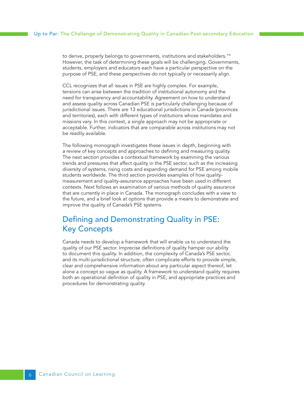<span id="page-5-0"></span>to derive, properly belongs to governments, institutions and stakeholders."6 However, the task of determining these goals will be challenging. Governments, students, employers and educators each have a particular perspective on the purpose of PSE, and these perspectives do not typically or necessarily align.

CCL recognizes that all issues in PSE are highly complex. For example, tensions can arise between the tradition of institutional autonomy and the need for transparency and accountability. Agreement on how to understand and assess quality across Canadian PSE is particularly challenging because of jurisdictional issues. There are 13 educational jurisdictions in Canada (provinces and territories), each with different types of institutions whose mandates and missions vary. In this context, a single approach may not be appropriate or acceptable. Further, indicators that are comparable across institutions may not be readily available.

The following monograph investigates these issues in depth, beginning with a review of key concepts and approaches to defining and measuring quality. The next section provides a contextual framework by examining the various trends and pressures that affect quality in the PSE sector, such as the increasing diversity of systems, rising costs and expanding demand for PSE among mobile students worldwide. The third section provides examples of how qualitymeasurement and quality-assurance approaches have been used in different contexts. Next follows an examination of various methods of quality assurance that are currently in place in Canada. The monograph concludes with a view to the future, and a brief look at options that provide a means to demonstrate and improve the quality of Canada's PSE systems.

# Defining and Demonstrating Quality in PSE: Key Concepts

Canada needs to develop a framework that will enable us to understand the quality of our PSE sector. Imprecise definitions of quality hamper our ability to document this quality. In addition, the complexity of Canada's PSE sector, and its multi-jurisdictional structure, often complicate efforts to provide simple, clear and comprehensive information about any particular aspect thereof, let alone a concept so vague as quality. A framework to understand quality requires both an operational definition of quality in PSE, and appropriate practices and procedures for demonstrating quality.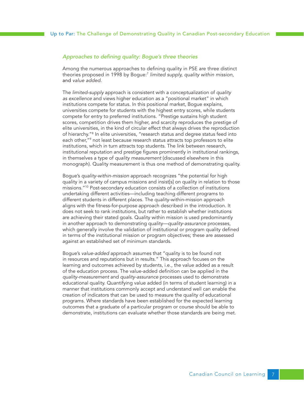#### *Approaches to defining quality: Bogue's three theories*

Among the numerous approaches to defining quality in PSE are three distinct theories proposed in 1998 by Bogue:7 *limited supply, quality within mission,*  and *value added.*

The *limited-supply* approach is consistent with a conceptualization of *quality as excellence* and views higher education as a "positional market" in which institutions compete for status. In this positional market, Bogue explains, universities compete for students with the highest entry scores, while students compete for entry to preferred institutions. "Prestige sustains high student scores, competition drives them higher, and scarcity reproduces the prestige of elite universities, in the kind of circular effect that always drives the reproduction of hierarchy."8 In elite universities, "research status and degree status feed into each other,"9 not least because research status attracts top professors to elite institutions, which in turn attracts top students. The link between research, institutional reputation and prestige figures prominently in institutional rankings, in themselves a type of *quality measurement* (discussed elsewhere in this monograph). Quality measurement is thus one method of demonstrating quality.

Bogue's *quality-within-mission* approach recognizes "the potential for high quality in a variety of campus missions and insist[s] on quality in relation to those missions."10 Post-secondary education consists of a collection of institutions undertaking different activities—including teaching different programs to different students in different places. The quality-within-mission approach aligns with the fitness-for-purpose approach described in the introduction. It does not seek to rank institutions, but rather to establish whether institutions are achieving their stated goals. Quality within mission is used predominantly in another approach to demonstrating quality—*quality-assurance* processes, which generally involve the validation of institutional or program quality defined in terms of the institutional mission or program objectives; these are assessed against an established set of minimum standards.

Bogue's *value-added* approach assumes that "quality is to be found not in resources and reputations but in results." This approach focuses on the learning and outcomes achieved by students, i.e., the value added as a result of the education process. The value-added definition can be applied in the *quality-measurement* and *quality-assurance* processes used to demonstrate educational quality. Quantifying value added (in terms of student learning) in a manner that institutions commonly accept and understand well can enable the creation of indicators that can be used to measure the quality of educational programs. Where standards have been established for the expected learning outcomes that a graduate of a particular program or course should be able to demonstrate, institutions can evaluate whether those standards are being met.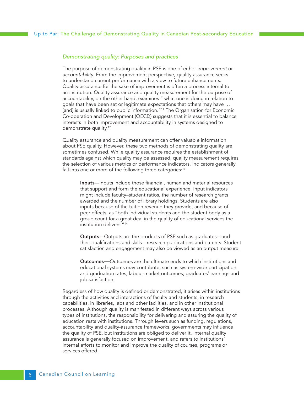#### *Demonstrating quality: Purposes and practices*

The purpose of demonstrating quality in PSE is one of either *improvement* or *accountability*. From the improvement perspective, quality assurance seeks to understand current performance with a view to future enhancements. Quality assurance for the sake of improvement is often a process internal to an institution. Quality assurance and quality measurement for the purpose of accountability, on the other hand, examines " what one is doing in relation to goals that have been set or legitimate expectations that others may have … [and] is usually linked to public information."<sup>11</sup> The Organisation for Economic Co-operation and Development (OECD) suggests that it is essential to balance interests in both improvement and accountability in systems designed to demonstrate quality.<sup>12</sup>

Quality assurance and quality measurement can offer valuable information about PSE quality. However, these two methods of demonstrating quality are sometimes confused. While quality assurance requires the establishment of standards against which quality may be assessed, quality measurement requires the selection of various metrics or performance indicators. Indicators generally fall into one or more of the following three categories: $13$ 

Inputs—Inputs include those financial, human and material resources that support and form the educational experience. Input indicators might include faculty–student ratios, the number of research grants awarded and the number of library holdings. Students are also inputs because of the tuition revenue they provide, and because of peer effects, as "both individual students and the student body as a group count for a great deal in the quality of educational services the institution delivers."14

**Outputs**—Outputs are the products of PSE such as graduates—and their qualifications and skills—research publications and patents. Student satisfaction and engagement may also be viewed as an output measure.

Outcomes—Outcomes are the ultimate ends to which institutions and educational systems may contribute, such as system-wide participation and graduation rates, labour-market outcomes, graduates' earnings and job satisfaction.

Regardless of how quality is defined or demonstrated, it arises within institutions through the activities and interactions of faculty and students, in research capabilities, in libraries, labs and other facilities, and in other institutional processes. Although quality is manifested in different ways across various types of institutions, the responsibility for delivering and assuring the quality of education rests with institutions. Through levers such as funding, regulations, accountability and quality-assurance frameworks, governments may influence the quality of PSE, but institutions are obliged to deliver it. Internal quality assurance is generally focused on improvement, and refers to institutions' internal efforts to monitor and improve the quality of courses, programs or services offered.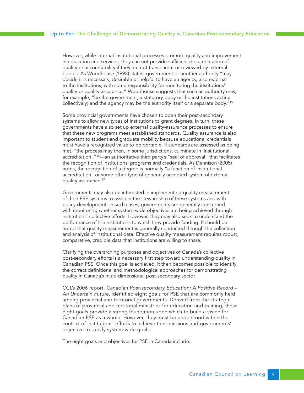However, while internal institutional processes promote quality and improvement in education and services, they can not provide sufficient documentation of quality or accountability if they are not transparent or reviewed by external bodies. As Woodhouse (1998) states, government or another authority "may decide it is necessary, desirable or helpful to have an agency, also external to the institutions, with some responsibility for monitoring the institutions' quality or quality assurance." Woodhouse suggests that such an authority may, for example, "be the government, a statutory body or the institutions acting collectively; and the agency may be the authority itself or a separate body."15

Some provincial governments have chosen to open their post-secondary systems to allow new types of institutions to grant degrees. In turn, these governments have also set up external quality-assurance processes to ensure that these new programs meet established standards. Quality assurance is also important to student and graduate mobility because educational credentials must have a recognized value to be portable. If standards are assessed as being met, "the process may then, in some jurisdictions, culminate in 'institutional accreditation',"<sup>16</sup>—an authoritative third party's "seal of approval" that facilitates the recognition of institutions' programs and credentials. As Dennison (2005) notes, the recognition of a degree is normally "a function of institutional accreditation" or some other type of generally accepted system of external quality assurance.<sup>17</sup>

Governments may also be interested in implementing quality measurement of their PSE systems to assist in the stewardship of these systems and with policy development. In such cases, governments are generally concerned with monitoring whether system-wide objectives are being achieved through institutions' collective efforts. However, they may also seek to understand the performance of the institutions to which they provide funding. It should be noted that quality measurement is generally conducted through the collection and analysis of institutional data. Effective quality measurement requires robust, comparative, credible data that institutions are willing to share.

Clarifying the overarching purposes and objectives of Canada's collective post-secondary efforts is a necessary first step toward understanding quality in Canadian PSE. Once this goal is achieved, it then becomes possible to identify the correct definitional and methodological approaches for demonstrating quality in Canada's multi-dimensional post-secondary sector.

CCL's 2006 report, *Canadian Post-secondary Education: A Positive Record – An Uncertain Future*, identified eight goals for PSE that are commonly held among provincial and territorial governments. Derived from the strategic plans of provincial and territorial ministries for education and training, these eight goals provide a strong foundation upon which to build a vision for Canadian PSE as a whole. However, they must be understood within the context of institutions' efforts to achieve their missions and governments' objective to satisfy system-wide goals.

The eight goals and objectives for PSE in Canada include: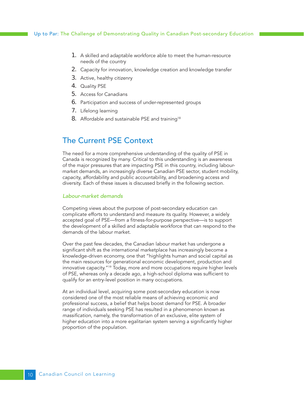- <span id="page-9-0"></span>1. A skilled and adaptable workforce able to meet the human-resource needs of the country
- 2. Capacity for innovation, knowledge creation and knowledge transfer
- 3. Active, healthy citizenry
- 4. Quality PSE
- 5. Access for Canadians
- 6. Participation and success of under-represented groups
- 7. Lifelong learning
- 8. Affordable and sustainable PSE and training<sup>18</sup>

## The Current PSE Context

The need for a more comprehensive understanding of the quality of PSE in Canada is recognized by many. Critical to this understanding is an awareness of the major pressures that are impacting PSE in this country, including labourmarket demands, an increasingly diverse Canadian PSE sector, student mobility, capacity, affordability and public accountability, and broadening access and diversity. Each of these issues is discussed briefly in the following section.

#### *Labour-market demands*

Competing views about the purpose of post-secondary education can complicate efforts to understand and measure its quality. However, a widely accepted goal of PSE—from a fitness-for-purpose perspective—is to support the development of a skilled and adaptable workforce that can respond to the demands of the labour market.

Over the past few decades, the Canadian labour market has undergone a significant shift as the international marketplace has increasingly become a knowledge-driven economy, one that "highlights human and social capital as the main resources for generational economic development, production and innovative capacity."19 Today, more and more occupations require higher levels of PSE, whereas only a decade ago, a high-school diploma was sufficient to qualify for an entry-level position in many occupations.

At an individual level, acquiring some post-secondary education is now considered one of the most reliable means of achieving economic and professional success, a belief that helps boost demand for PSE. A broader range of individuals seeking PSE has resulted in a phenomenon known as *massification*, namely, the transformation of an exclusive, elite system of higher education into a more egalitarian system serving a significantly higher proportion of the population.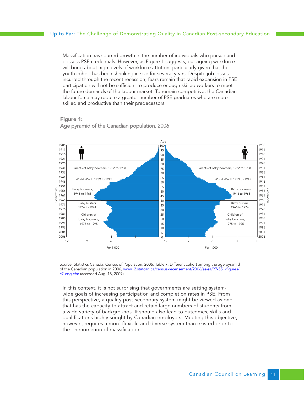Massification has spurred growth in the number of individuals who pursue and possess PSE credentials. However, as Figure 1 suggests, our ageing workforce will bring about high levels of workforce attrition, particularly given that the youth cohort has been shrinking in size for several years. Despite job losses incurred through the recent recession, fears remain that rapid expansion in PSE participation will not be sufficient to produce enough skilled workers to meet the future demands of the labour market. To remain competitive, the Canadian labour force may require a greater number of PSE graduates who are more skilled and productive than their predecessors.

#### Figure 1:



Age pyramid of the Canadian population, 2006

Source: Statistics Canada, Census of Population, 2006, Table 7: Different cohort among the age pyramid of the Canadian population in 2006[, www12.statcan.ca/census-recensement/2006/as-sa/97-551/figures/](http://www12.statcan.ca/census-recensement/2006/as-sa/97-551/figures/c7-eng.cfm) [c7-eng.cfm](http://www12.statcan.ca/census-recensement/2006/as-sa/97-551/figures/c7-eng.cfm) (accessed Aug. 18, 2009).

In this context, it is not surprising that governments are setting systemwide goals of increasing participation and completion rates in PSE. From this perspective, a quality post-secondary system might be viewed as one that has the capacity to attract and retain large numbers of students from a wide variety of backgrounds. It should also lead to outcomes, skills and qualifications highly sought by Canadian employers. Meeting this objective, however, requires a more flexible and diverse system than existed prior to the phenomenon of massification.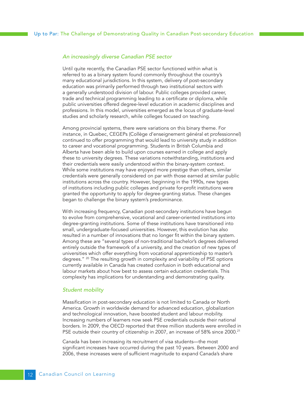#### *An increasingly diverse Canadian PSE sector*

Until quite recently, the Canadian PSE sector functioned within what is referred to as a binary system found commonly throughout the country's many educational jurisdictions. In this system, delivery of post-secondary education was primarily performed through two institutional sectors with a generally understood division of labour. Public colleges provided career, trade and technical programming leading to a certificate or diploma, while public universities offered degree-level education in academic disciplines and professions. In this model, universities emerged as the locus of graduate-level studies and scholarly research, while colleges focused on teaching.

Among provincial systems, there were variations on this binary theme. For instance, in Quebec, CEGEPs (Collège d'enseignement général et professionnel) continued to offer programming that would lead to university study in addition to career and vocational programming. Students in British Columbia and Alberta have been able to build upon courses earned in college and apply these to university degrees. These variations notwithstanding, institutions and their credentials were easily understood within the binary-system context. While some institutions may have enjoyed more prestige than others, similar credentials were generally considered on par with those earned at similar public institutions across the country. However, beginning in the 1990s, new types of institutions including public colleges and private for-profit institutions were granted the opportunity to apply for degree-granting status. These changes began to challenge the binary system's predominance.

With increasing frequency, Canadian post-secondary institutions have begun to evolve from comprehensive, vocational and career-oriented institutions into degree-granting institutions. Some of these institutions have transitioned into small, undergraduate-focused universities. However, this evolution has also resulted in a number of innovations that no longer fit within the binary system. Among these are "several types of non-traditional bachelor's degrees delivered entirely outside the framework of a university, and the creation of new types of universities which offer everything from vocational apprenticeship to master's degrees." <sup>20</sup> The resulting growth in complexity and variability of PSE options currently available in Canada has created confusion in both educational and labour markets about how best to assess certain education credentials. This complexity has implications for understanding and demonstrating quality.

#### *Student mobility*

Massification in post-secondary education is not limited to Canada or North America. Growth in worldwide demand for advanced education, globalization and technological innovation, have boosted student and labour mobility. Increasing numbers of learners now seek PSE credentials outside their national borders. In 2009, the OECD reported that three million students were enrolled in PSE outside their country of citizenship in 2007, an increase of 58% since 2000.<sup>21</sup>

Canada has been increasing its recruitment of visa students—the most significant increases have occurred during the past 10 years. Between 2000 and 2006, these increases were of sufficient magnitude to expand Canada's share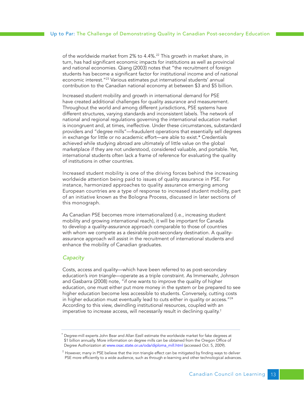of the worldwide market from 2% to 4.4%.<sup>22</sup> This growth in market share, in turn, has had significant economic impacts for institutions as well as provincial and national economies. Qiang (2003) notes that "the recruitment of foreign students has become a significant factor for institutional income and of national economic interest.<sup>"23</sup> Various estimates put international students' annual contribution to the Canadian national economy at between \$3 and \$5 billion.

Increased student mobility and growth in international demand for PSE have created additional challenges for quality assurance and measurement. Throughout the world and among different jurisdictions, PSE systems have different structures, varying standards and inconsistent labels. The network of national and regional regulations governing the international education market is incongruent and, at times, ineffective. Under these circumstances, substandard providers and "degree mills"—fraudulent operations that essentially sell degrees in exchange for little or no academic effort—are able to exist.\* Credentials achieved while studying abroad are ultimately of little value on the global marketplace if they are not understood, considered valuable, and portable. Yet, international students often lack a frame of reference for evaluating the quality of institutions in other countries.

Increased student mobility is one of the driving forces behind the increasing worldwide attention being paid to issues of quality assurance in PSE. For instance, harmonized approaches to quality assurance emerging among European countries are a type of response to increased student mobility, part of an initiative known as the Bologna Process, discussed in later sections of this monograph.

As Canadian PSE becomes more internationalized (i.e., increasing student mobility and growing international reach), it will be important for Canada to develop a quality-assurance approach comparable to those of countries with whom we compete as a desirable post-secondary destination. A qualityassurance approach will assist in the recruitment of international students and enhance the mobility of Canadian graduates.

#### *Capacity*

Costs, access and quality—which have been referred to as post-secondary education's *iron triangle*—operate as a triple constraint. As Immerwahr, Johnson and Gasbarra (2008) note, "if one wants to improve the quality of higher education, one must either put more money in the system or be prepared to see higher education become less accessible to students. Conversely, cutting costs in higher education must eventually lead to cuts either in quality or access."<sup>24</sup> According to this view, dwindling institutional resources, coupled with an imperative to increase access, will necessarily result in declining quality.†

Degree-mill experts John Bear and Allan Ezell estimate the worldwide market for fake degrees at \$1 billion annually. More information on degree mills can be obtained from the Oregon Office of Degree Authorization at www.osac.state.or.us/oda/diploma\_mill.html (accessed Oct. 5, 2009).

 $^\dagger$  However, many in PSE believe that the iron triangle effect can be mitigated by finding ways to deliver PSE more efficiently to a wide audience, such as through e-learning and other technological advances.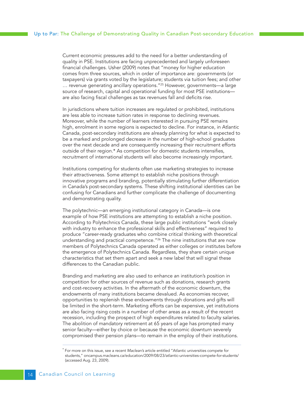Current economic pressures add to the need for a better understanding of quality in PSE. Institutions are facing unprecedented and largely unforeseen financial challenges. Usher (2009) notes that "money for higher education comes from three sources, which in order of importance are: governments (or taxpayers) via grants voted by the legislature; students via tuition fees; and other ... revenue generating ancillary operations."<sup>25</sup> However, governments—a large source of research, capital and operational funding for most PSE institutions are also facing fiscal challenges as tax revenues fall and deficits rise.

In jurisdictions where tuition increases are regulated or prohibited, institutions are less able to increase tuition rates in response to declining revenues. Moreover, while the number of learners interested in pursuing PSE remains high, enrolment in some regions is expected to decline. For instance, in Atlantic Canada, post-secondary institutions are already planning for what is expected to be a marked and prolonged decrease in the number of high-school graduates over the next decade and are consequently increasing their recruitment efforts outside of their region.\* As competition for domestic students intensifies, recruitment of international students will also become increasingly important.

Institutions competing for students often use marketing strategies to increase their attractiveness. Some attempt to establish niche positions through innovative programs and branding, potentially stimulating further differentiation in Canada's post-secondary systems. These shifting institutional identities can be confusing for Canadians and further complicate the challenge of documenting and demonstrating quality.

The polytechnic—an emerging institutional category in Canada—is one example of how PSE institutions are attempting to establish a niche position. According to Polytechnics Canada, these large public institutions "work closely with industry to enhance the professional skills and effectiveness" required to produce "career-ready graduates who combine critical thinking with theoretical understanding and practical competence."<sup>26</sup> The nine institutions that are now members of Polytechnics Canada operated as either colleges or institutes before the emergence of Polytechnics Canada. Regardless, they share certain unique characteristics that set them apart and seek a new label that will signal these differences to the Canadian public.

Branding and marketing are also used to enhance an institution's position in competition for other sources of revenue such as donations, research grants and cost-recovery activities. In the aftermath of the economic downturn, the endowments of many institutions became devalued. As economies recover, opportunities to replenish these endowments through donations and gifts will be limited in the short-term. Marketing efforts can be expensive, yet institutions are also facing rising costs in a number of other areas as a result of the recent recession, including the prospect of high expenditures related to faculty salaries. The abolition of mandatory retirement at 65 years of age has prompted many senior faculty—either by choice or because the economic downturn severely compromised their pension plans—to remain in the employ of their institutions.

<sup>\*</sup> For more on this issue, see a recent *Maclean's* article entitled "Atlantic universities compete for students," oncampus.macleans.ca/education/2009/08/23/atlantic-universities-compete-for-students/ (accessed Aug. 23, 2009).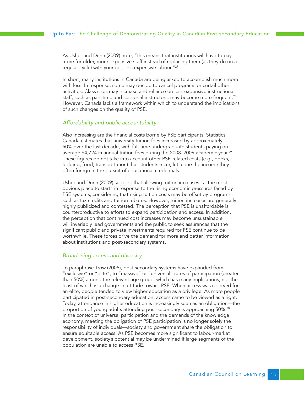As Usher and Dunn (2009) note, "this means that institutions will have to pay more for older, more expensive staff instead of replacing them (as they do on a regular cycle) with younger, less expensive labour."27

In short, many institutions in Canada are being asked to accomplish much more with less. In response, some may decide to cancel programs or curtail other activities. Class sizes may increase and reliance on less-expensive instructional staff, such as part-time and sessional instructors, may become more frequent.<sup>28</sup> However, Canada lacks a framework within which to understand the implications of such changes on the quality of PSE.

#### *Affordability and public accountability*

Also increasing are the financial costs borne by PSE participants. Statistics Canada estimates that university tuition fees increased by approximately 50% over the last decade, with full-time undergraduate students paying on average \$4,724 in annual tuition fees during the 2008–2009 academic year.<sup>29</sup> These figures do not take into account other PSE-related costs (e.g., books, lodging, food, transportation) that students incur, let alone the income they often forego in the pursuit of educational credentials.

Usher and Dunn (2009) suggest that allowing tuition increases is "the most obvious place to start" in response to the rising economic pressures faced by PSE systems, considering that rising tuition costs may be offset by programs such as tax credits and tuition rebates. However, tuition increases are generally highly publicized and contested. The perception that PSE is unaffordable is counterproductive to efforts to expand participation and access. In addition, the perception that continued cost increases may become unsustainable will invariably lead governments and the public to seek assurances that the significant public and private investments required for PSE continue to be worthwhile. These forces drive the demand for more and better information about institutions and post-secondary systems.

#### *Broadening access and diversity*

To paraphrase Trow (2005), post-secondary systems have expanded from "exclusive" or "elite", to "massive" or "universal" rates of participation (greater than 50%) among the relevant age group, which has many implications, not the least of which is a change in attitude toward PSE. When access was reserved for an elite, people tended to view higher education as a privilege. As more people participated in post-secondary education, access came to be viewed as a right. Today, attendance in higher education is increasingly seen as an obligation—the proportion of young adults attending post-secondary is approaching 50%.<sup>30</sup> In the context of universal participation and the demands of the knowledge economy, meeting the obligation of PSE participation is no longer solely the responsibility of individuals—society and government share the obligation to ensure equitable access. As PSE becomes more significant to labour-market development, society's potential may be undermined if large segments of the population are unable to access PSE.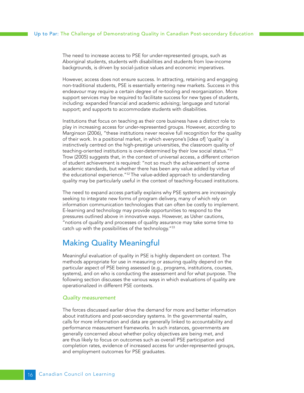<span id="page-15-0"></span>The need to increase access to PSE for under-represented groups, such as Aboriginal students, students with disabilities and students from low-income backgrounds, is driven by social-justice values and economic imperatives.

However, access does not ensure success. In attracting, retaining and engaging non-traditional students, PSE is essentially entering new markets. Success in this endeavour may require a certain degree of re-tooling and reorganization. More support services may be required to facilitate success for new types of students, including: expanded financial and academic advising; language and tutorial support; and supports to accommodate students with disabilities.

Institutions that focus on teaching as their core business have a distinct role to play in increasing access for under-represented groups. However, according to Marginson (2006), "these institutions never receive full recognition for the quality of their work. In a positional market, in which everyone's [idea of] 'quality' is instinctively centred on the high-prestige universities, the classroom quality of teaching-oriented institutions is over-determined by their low social status."31 Trow (2005) suggests that, in the context of universal access, a different criterion of student achievement is required: "not so much the achievement of some academic standards, but whether there has been any value added by virtue of the educational experience."<sup>32</sup> The value-added approach to understanding quality may be particularly useful in the context of teaching-focused institutions.

The need to expand access partially explains why PSE systems are increasingly seeking to integrate new forms of program delivery, many of which rely on information communication technologies that can often be costly to implement. E-learning and technology may provide opportunities to respond to the pressures outlined above in innovative ways. However, as Usher cautions, "notions of quality and processes of quality assurance may take some time to catch up with the possibilities of the technology."33

# Making Quality Meaningful

Meaningful evaluation of quality in PSE is highly dependent on context. The methods appropriate for use in measuring or assuring quality depend on the particular aspect of PSE being assessed (e.g., programs, institutions, courses, systems), and on who is conducting the assessment and for what purpose. The following section discusses the various ways in which evaluations of quality are operationalized in different PSE contexts.

#### *Quality measurement*

The forces discussed earlier drive the demand for more and better information about institutions and post-secondary systems. In the governmental realm, calls for more information and data are generally linked to accountability and performance measurement frameworks. In such instances, governments are generally concerned about whether policy objectives are being met, and are thus likely to focus on outcomes such as overall PSE participation and completion rates, evidence of increased access for under-represented groups, and employment outcomes for PSE graduates.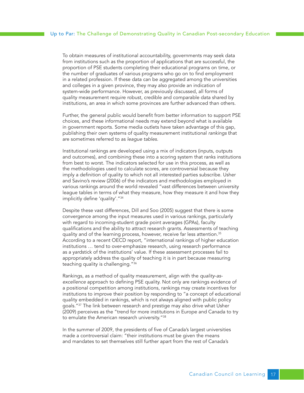To obtain measures of institutional accountability, governments may seek data from institutions such as the proportion of applications that are successful, the proportion of PSE students completing their educational programs on time, or the number of graduates of various programs who go on to find employment in a related profession. If these data can be aggregated among the universities and colleges in a given province, they may also provide an indication of system-wide performance. However, as previously discussed, all forms of quality measurement require robust, credible and comparable data shared by institutions, an area in which some provinces are further advanced than others.

Further, the general public would benefit from better information to support PSE choices, and these informational needs may extend beyond what is available in government reports. Some media outlets have taken advantage of this gap, publishing their own systems of quality measurement institutional *rankings* that are sometimes referred to as *league tables*.

Institutional rankings are developed using a mix of indicators (inputs, outputs and outcomes), and combining these into a scoring system that ranks institutions from best to worst. The indicators selected for use in this process, as well as the methodologies used to calculate scores, are controversial because they imply a definition of quality to which not all interested parties subscribe. Usher and Savino's review (2006) of the indicators and methodologies employed in various rankings around the world revealed "vast differences between university league tables in terms of what they measure, how they measure it and how they implicitly define 'quality'."34

Despite these vast differences, Dill and Soo (2005) suggest that there is some convergence among the input measures used in various rankings, particularly with regard to incoming-student grade point averages (GPAs), faculty qualifications and the ability to attract research grants. Assessments of teaching quality and of the learning process, however, receive far less attention.<sup>35</sup> According to a recent OECD report, "international rankings of higher education institutions … tend to over-emphasize research, using research performance as a yardstick of the institutions' value. If these assessment processes fail to appropriately address the quality of teaching it is in part because measuring teaching quality is challenging."36

Rankings, as a method of quality measurement, align with the *quality-asexcellence* approach to defining PSE quality. Not only are rankings evidence of a positional competition among institutions, rankings may create incentives for institutions to improve their position by responding to "a concept of educational quality embedded in rankings, which is not always aligned with public policy goals."<sup>37</sup> The link between research and prestige may also drive what Usher (2009) perceives as the "trend for more institutions in Europe and Canada to try to emulate the American research university."<sup>38</sup>

In the summer of 2009, the presidents of five of Canada's largest universities made a controversial claim: "their institutions must be given the means and mandates to set themselves still further apart from the rest of Canada's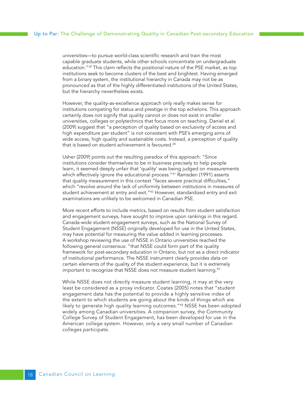universities—to pursue world-class scientific research and train the most capable graduate students, while other schools concentrate on undergraduate education."<sup>39</sup> This claim reflects the positional nature of the PSE market, as top institutions seek to become clusters of the best and brightest. Having emerged from a binary system, the institutional hierarchy in Canada may not be as pronounced as that of the highly differentiated institutions of the United States, but the hierarchy nevertheless exists.

However, the quality-as-excellence approach only really makes sense for institutions competing for status and prestige in the top echelons. This approach certainly does not signify that quality cannot or does not exist in smaller universities, colleges or polytechnics that focus more on teaching. Daniel et al. (2009) suggest that "a perception of quality based on exclusivity of access and high expenditure per student" is not consistent with PSE's emerging aims of wide access, high quality and sustainable costs. Instead, a perception of quality that is based on student achievement is favoured.<sup>40</sup>

Usher (2009) points out the resulting paradox of this approach: "Since institutions consider themselves to be in business precisely to help people learn, it seemed deeply unfair that 'quality' was being judged on measurements which effectively ignore the educational process."<sup>41</sup> Ramsden (1991) asserts that quality measurement in this context "faces severe practical difficulties," which "revolve around the lack of uniformity between institutions in measures of student achievement at entry and exit."42 However, standardized entry and exit examinations are unlikely to be welcomed in Canadian PSE.

More recent efforts to include metrics, based on results from student satisfaction and engagement surveys, have sought to improve upon rankings in this regard. Canada-wide student engagement surveys, such as the National Survey of Student Engagement (NSSE) originally developed for use in the United States, may have potential for measuring the value added in learning processes. A workshop reviewing the use of NSSE in Ontario universities reached the following general consensus: "that NSSE could form part of the quality framework for post-secondary education in Ontario, but not as a direct indicator of institutional performance. The NSSE instrument clearly provides data on certain elements of the quality of the student experience, but it is extremely important to recognize that NSSE does not measure student learning.<sup>43</sup>

While NSSE does not directly measure student learning, it may at the very least be considered as a proxy indicator. Coates (2005) notes that "student engagement data has the potential to provide a highly sensitive index of the extent to which students are going about the kinds of things which are likely to generate high quality learning outcomes."44 NSSE has been adopted widely among Canadian universities. A companion survey, the Community College Survey of Student Engagement, has been developed for use in the American college system. However, only a very small number of Canadian colleges participate.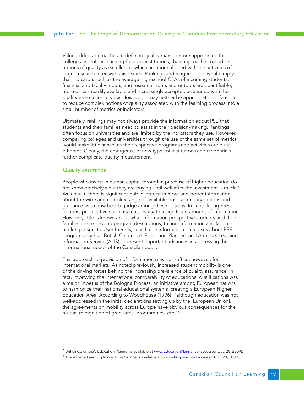Value-added approaches to defining quality may be more appropriate for colleges and other teaching-focused institutions, than approaches based on notions of quality as excellence, which are more aligned with the activities of large, research-intensive universities. Rankings and league tables would imply that indicators such as the average high-school GPAs of incoming students, financial and faculty inputs, and research inputs and outputs are quantifiable, more or less readily available and increasingly accepted as aligned with the quality-as-excellence view. However, it may neither be appropriate nor feasible to reduce complex notions of quality associated with the learning process into a small number of metrics or indicators.

Ultimately, rankings may not always provide the information about PSE that students and their families need to assist in their decision-making. Rankings often focus on universities and are limited by the indicators they use. However, comparing colleges and universities through the use of the same set of metrics would make little sense, as their respective programs and activities are quite different. Clearly, the emergence of new types of institutions and credentials further complicate quality measurement.

#### *Quality assurance*

People who invest in human capital through a purchase of higher education do not know precisely what they are buying until well after the investment is made.<sup>45</sup> As a result, there is significant public interest in more and better information about the wide and complex range of available post-secondary options and guidance as to how best to judge among these options. In considering PSE options, prospective students must evaluate a significant amount of information. However, little is known about what information prospective students and their families desire beyond program descriptions, tuition information and labourmarket prospects. User-friendly, searchable information databases about PSE programs, such as British Columbia's Education Planner\* and Alberta's Learning Information Service (ALIS)<sup>†</sup> represent important advances in addressing the informational needs of the Canadian public.

This approach to provision of information may not suffice, however, for international markets. As noted previously, increased student mobility is one of the driving forces behind the increasing prevalence of quality assurance. In fact, improving the international comparability of educational qualifications was a major impetus of the Bologna Process, an initiative among European nations to harmonize their national educational systems, creating a European Higher Education Area. According to Woodhouse (1996), "although education was not well-addressed in the initial declarations setting up by the [European Union], the agreements on mobility across Europe have obvious consequences for the mutual recognition of graduates, programmes, etc."46

British Columbia's Education Planner is available at www.EducationPlanner.ca (accessed Oct. 28, 2009).

<sup>†</sup> The Alberta Learning Information Service is available at www.Alis.gov.ab.ca (accessed Oct. 28, 2009).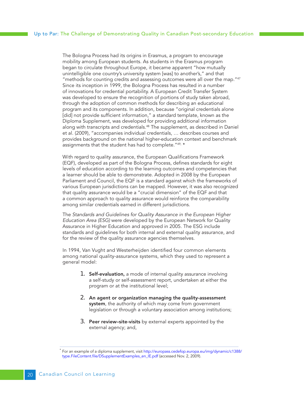The Bologna Process had its origins in Erasmus, a program to encourage mobility among European students. As students in the Erasmus program began to circulate throughout Europe, it became apparent "how mutually unintelligible one country's university system [was] to another's," and that "methods for counting credits and assessing outcomes were all over the map."47 Since its inception in 1999, the Bologna Process has resulted in a number of innovations for credential portability. A European Credit Transfer System was developed to ensure the recognition of portions of study taken abroad, through the adoption of common methods for describing an educational program and its components. In addition, because "original credentials alone [did] not provide sufficient information," a standard template, known as the Diploma Supplement, was developed for providing additional information along with transcripts and credentials.<sup>48</sup> The supplement, as described in Daniel et al. (2009), "accompanies individual credentials, … describes courses and provides background on the national higher-education context and benchmark assignments that the student has had to complete."<sup>49, \*</sup>

With regard to quality assurance, the European Qualifications Framework (EQF), developed as part of the Bologna Process, defines standards for eight levels of education according to the learning outcomes and competencies that a learner should be able to demonstrate. Adopted in 2008 by the European Parliament and Council, the EQF is a standard against which the frameworks of various European jurisdictions can be mapped. However, it was also recognized that quality assurance would be a "crucial dimension" of the EQF and that a common approach to quality assurance would reinforce the comparability among similar credentials earned in different jurisdictions.

The *Standards and Guidelines for Quality Assurance in the European Higher Education Area (ESG)* were developed by the European Network for Quality Assurance in Higher Education and approved in 2005. The ESG include standards and guidelines for both internal and external quality assurance, and for the review of the quality assurance agencies themselves.

In 1994, Van Vught and Westerheijden identified four common elements among national quality-assurance systems, which they used to represent a general model:

- **1.** Self-evaluation, a mode of internal quality assurance involving a self-study or self-assessment report, undertaken at either the program or at the institutional level;
- 2. An agent or organization managing the quality-assessment system, the authority of which may come from government legislation or through a voluntary association among institutions;
- 3. Peer review–site-visits by external experts appointed by the external agency; and,

For an example of a diploma supplement, visit http://europass.cedefop.europa.eu/img/dynamic/c1388/ type.FileContent.file/DSupplementExamples\_en\_IE.pdf (accessed Nov. 2, 2009).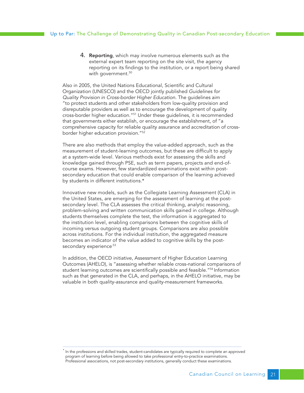4. **Reporting**, which may involve numerous elements such as the external expert team reporting on the site visit, the agency reporting on its findings to the institution, or a report being shared with government.<sup>50</sup>

Also in 2005, the United Nations Educational, Scientific and Cultural Organization (UNESCO) and the OECD jointly published *Guidelines for Quality Provision in Cross-border Higher Education.* The guidelines aim "to protect students and other stakeholders from low-quality provision and disreputable providers as well as to encourage the development of quality cross-border higher education."51 Under these guidelines, it is recommended that governments either establish, or encourage the establishment, of "a comprehensive capacity for reliable quality assurance and accreditation of crossborder higher education provision."52

There are also methods that employ the value-added approach, such as the measurement of student-learning outcomes, but these are difficult to apply at a system-wide level. Various methods exist for assessing the skills and knowledge gained through PSE, such as term papers, projects and end-ofcourse exams. However, few standardized examinations exist within postsecondary education that could enable comparison of the learning achieved by students in different institutions.\*

Innovative new models, such as the Collegiate Learning Assessment (CLA) in the United States, are emerging for the assessment of learning at the postsecondary level. The CLA assesses the critical thinking, analytic reasoning, problem-solving and written communication skills gained in college. Although students themselves complete the test, the information is aggregated to the institution level, enabling comparisons between the cognitive skills of incoming versus outgoing student groups. Comparisons are also possible across institutions. For the individual institution, the aggregated measure becomes an indicator of the value added to cognitive skills by the postsecondary experience.<sup>53</sup>

In addition, the OECD initiative, Assessment of Higher Education Learning Outcomes (AHELO), is "assessing whether reliable cross-national comparisons of student learning outcomes are scientifically possible and feasible."<sup>54</sup> Information such as that generated in the CLA, and perhaps, in the AHELO initiative, may be valuable in both quality-assurance and quality-measurement frameworks.

<sup>\*</sup> In the professions and skilled trades, student-candidates are typically required to complete an approved program of learning before being allowed to take professional entry-to-practice examinations. Professional associations, not post-secondary institutions, generally conduct these examinations.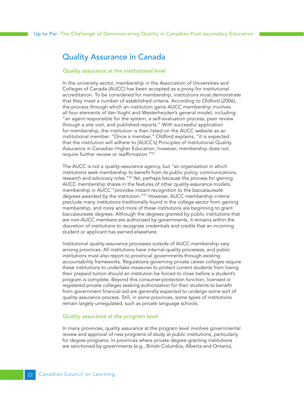# <span id="page-21-0"></span>Quality Assurance in Canada

#### *Quality assurance at the institutional level*

In the university sector, membership in the Association of Universities and Colleges of Canada (AUCC) has been accepted as a proxy for institutional accreditation. To be considered for membership, institutions must demonstrate that they meet a number of established criteria. According to Oldford (2006), the process through which an institution gains AUCC membership involves all four elements of Van Vught and Westerheijden's general model, including: "an agent responsible for the system, a self-evaluation process, peer review through a site visit, and published reports." With successful application for membership, the institution is then listed on the AUCC website as an institutional member. "Once a member," Oldford explains, "it is expected that the institution will adhere to [AUCC's] Principles of Institutional Quality Assurance in Canadian Higher Education; however, membership does not require further review or reaffirmation."55

The AUCC is not a quality-assurance agency, but "an organization in which institutions seek membership to benefit from its public policy, communications, research and advocacy roles."<sup>56</sup> Yet, perhaps because the process for gaining AUCC membership shares in the features of other quality-assurance models, membership in AUCC "provides instant recognition to the baccalaureate degrees awarded by the institution."<sup>57</sup> However, AUCC membership criteria preclude many institutions traditionally found in the college sector from gaining membership, and more and more of these institutions are beginning to grant baccalaureate degrees. Although the degrees granted by public institutions that are non-AUCC members are authorized by governments, it remains within the discretion of institutions to recognize credentials and credits that an incoming student or applicant has earned elsewhere.

Institutional quality-assurance processes outside of AUCC membership vary among provinces. All institutions have internal-quality processes, and public institutions must also report to provincial governments through existing accountability frameworks. Regulations governing private career colleges require these institutions to undertake measures to protect current students from losing their prepaid tuition should an institution be forced to close before a student's program is complete. Beyond this consumer-protection function, licensed or registered private colleges seeking authorization for their students to benefit from government financial aid are generally expected to undergo some sort of quality-assurance process. Still, in some provinces, some types of institutions remain largely unregulated, such as private language schools.

#### *Quality assurance at the program level*

In many provinces, quality assurance at the program level involves governmental review and approval of new programs of study at public institutions, particularly for degree programs. In provinces where private degree-granting institutions are sanctioned by governments (e.g., British Columbia, Alberta and Ontario),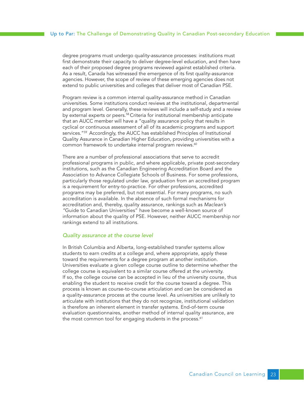degree programs must undergo quality-assurance processes: institutions must first demonstrate their capacity to deliver degree-level education, and then have each of their proposed degree programs reviewed against established criteria. As a result, Canada has witnessed the emergence of its first quality-assurance agencies. However, the scope of review of these emerging agencies does not extend to public universities and colleges that deliver most of Canadian PSE.

Program review is a common internal quality-assurance method in Canadian universities. Some institutions conduct reviews at the institutional, departmental and program level. Generally, these reviews will include a self-study and a review by external experts or peers.<sup>58</sup> Criteria for institutional membership anticipate that an AUCC member will have a "quality assurance policy that results in cyclical or continuous assessment of all of its academic programs and support services."<sup>59</sup> Accordingly, the AUCC has established Principles of Institutional Quality Assurance in Canadian Higher Education, providing universities with a common framework to undertake internal program reviews.<sup>60</sup>

There are a number of professional associations that serve to accredit professional programs in public, and where applicable, private post-secondary institutions, such as the Canadian Engineering Accreditation Board and the Association to Advance Collegiate Schools of Business. For some professions, particularly those regulated under law, graduation from an accredited program is a requirement for entry-to-practice. For other professions, accredited programs may be preferred, but not essential. For many programs, no such accreditation is available. In the absence of such formal mechanisms for accreditation and, thereby, quality assurance, rankings such as *Maclean's "*Guide to Canadian Universities" have become a well-known source of information about the quality of PSE. However, neither AUCC membership nor rankings extend to all institutions.

#### *Quality assurance at the course level*

In British Columbia and Alberta, long-established transfer systems allow students to earn credits at a college and, where appropriate, apply these toward the requirements for a degree program at another institution. Universities evaluate a given college course outline to determine whether the college course is equivalent to a similar course offered at the university. If so, the college course can be accepted in lieu of the university course, thus enabling the student to receive credit for the course toward a degree. This process is known as course-to-course articulation and can be considered as a quality-assurance process at the course level. As universities are unlikely to articulate with institutions that they do not recognize, institutional validation is therefore an inherent element in transfer systems. End-of-term course evaluation questionnaires, another method of internal quality assurance, are the most common tool for engaging students in the process.<sup>61</sup>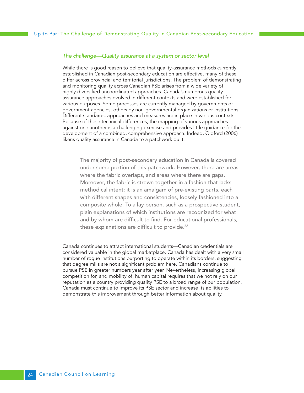#### *The challenge—Quality assurance at a system or sector level*

While there is good reason to believe that quality-assurance methods currently established in Canadian post-secondary education are effective, many of these differ across provincial and territorial jurisdictions. The problem of demonstrating and monitoring quality across Canadian PSE arises from a wide variety of highly diversified uncoordinated approaches. Canada's numerous qualityassurance approaches evolved in different contexts and were established for various purposes. Some processes are currently managed by governments or government agencies, others by non-governmental organizations or institutions. Different standards, approaches and measures are in place in various contexts. Because of these technical differences, the mapping of various approaches against one another is a challenging exercise and provides little guidance for the development of a combined, comprehensive approach. Indeed, Oldford (2006) likens quality assurance in Canada to a patchwork quilt:

The majority of post-secondary education in Canada is covered under some portion of this patchwork. However, there are areas where the fabric overlaps, and areas where there are gaps. Moreover, the fabric is strewn together in a fashion that lacks methodical intent: it is an amalgam of pre-existing parts, each with different shapes and consistencies, loosely fashioned into a composite whole. To a lay person, such as a prospective student, plain explanations of which institutions are recognized for what and by whom are difficult to find. For educational professionals, these explanations are difficult to provide.<sup>62</sup>

Canada continues to attract international students—Canadian credentials are considered valuable in the global marketplace. Canada has dealt with a very small number of rogue institutions purporting to operate within its borders, suggesting that degree mills are not a significant problem here. Canadians continue to pursue PSE in greater numbers year after year. Nevertheless, increasing global competition for, and mobility of, human capital requires that we not rely on our reputation as a country providing quality PSE to a broad range of our population. Canada must continue to improve its PSE sector and increase its abilities to demonstrate this improvement through better information about quality.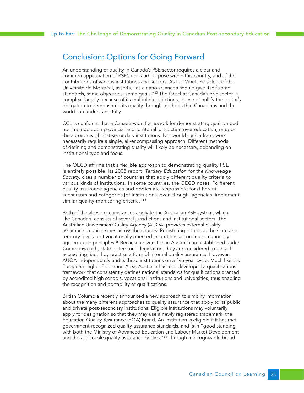# <span id="page-24-0"></span>Conclusion: Options for Going Forward

An understanding of quality in Canada's PSE sector requires a clear and common appreciation of PSE's role and purpose within this country, and of the contributions of various institutions and sectors. As Luc Vinet, President of the Université de Montréal, asserts, "as a nation Canada should give itself some standards, some objectives, some goals.<sup>"63</sup> The fact that Canada's PSE sector is complex, largely because of its multiple jurisdictions, does not nullify the sector's obligation to demonstrate its quality through methods that Canadians and the world can understand fully.

CCL is confident that a Canada-wide framework for demonstrating quality need not impinge upon provincial and territorial jurisdiction over education, or upon the autonomy of post-secondary institutions. Nor would such a framework necessarily require a single, all-encompassing approach. Different methods of defining and demonstrating quality will likely be necessary, depending on institutional type and focus.

The OECD affirms that a flexible approach to demonstrating quality PSE is entirely possible. Its 2008 report, *Tertiary Education for the Knowledge Society,* cites a number of countries that apply different quality criteria to various kinds of institutions. In some countries, the OECD notes, "different quality assurance agencies and bodies are responsible for different subsectors and categories [of institutions] even though [agencies] implement similar quality-monitoring criteria."<sup>64</sup>

Both of the above circumstances apply to the Australian PSE system, which, like Canada's, consists of several jurisdictions and institutional sectors. The Australian Universities Quality Agency (AUQA) provides external quality assurance to universities across the country. Registering bodies at the state and territory level audit vocationally oriented institutions according to nationally agreed-upon principles.<sup>65</sup> Because universities in Australia are established under Commonwealth, state or territorial legislation, they are considered to be selfaccrediting, i.e., they practise a form of internal quality assurance. However, AUQA independently audits these institutions on a five-year cycle. Much like the European Higher Education Area, Australia has also developed a qualifications framework that consistently defines national standards for qualifications granted by accredited high schools, vocational institutions and universities, thus enabling the recognition and portability of qualifications.

British Columbia recently announced a new approach to simplify information about the many different approaches to quality assurance that apply to its public and private post-secondary institutions. Eligible institutions may voluntarily apply for designation so that they may use a newly registered trademark, the Education Quality Assurance (EQA) Brand. An institution is eligible if it has met government-recognized quality-assurance standards, and is in "good standing with both the Ministry of Advanced Education and Labour Market Development and the applicable quality-assurance bodies."<sup>66</sup> Through a recognizable brand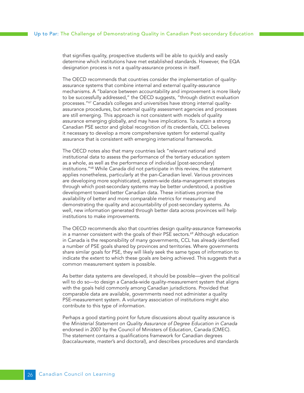that signifies quality, prospective students will be able to quickly and easily determine which institutions have met established standards. However, the EQA designation process is not a quality-assurance process in itself.

The OECD recommends that countries consider the implementation of qualityassurance systems that combine internal and external quality-assurance mechanisms. A "balance between accountability and improvement is more likely to be successfully addressed," the OECD suggests, "through distinct evaluation processes."67 Canada's colleges and universities have strong internal qualityassurance procedures, but external quality assessment agencies and processes are still emerging. This approach is not consistent with models of quality assurance emerging globally, and may have implications. To sustain a strong Canadian PSE sector and global recognition of its credentials, CCL believes it necessary to develop a more comprehensive system for external quality assurance that is consistent with emerging international frameworks.

The OECD notes also that many countries lack "relevant national and institutional data to assess the performance of the tertiary education system as a whole, as well as the performance of individual [post-secondary] institutions."68 While Canada did not participate in this review, the statement applies nonetheless, particularly at the pan-Canadian level. Various provinces are developing more sophisticated, system-wide data-management strategies through which post-secondary systems may be better understood, a positive development toward better Canadian data. These initiatives promise the availability of better and more comparable metrics for measuring and demonstrating the quality and accountability of post-secondary systems. As well, new information generated through better data across provinces will help institutions to make improvements.

The OECD recommends also that countries design quality-assurance frameworks in a manner consistent with the goals of their PSE sectors.<sup>69</sup> Although education in Canada is the responsibility of many governments, CCL has already identified a number of PSE goals shared by provinces and territories. Where governments share similar goals for PSE, they will likely seek the same types of information to indicate the extent to which these goals are being achieved. This suggests that a common measurement system is possible.

As better data systems are developed, it should be possible—given the political will to do so—to design a Canada-wide quality-measurement system that aligns with the goals held commonly among Canadian jurisdictions. Provided that comparable data are available, governments need not administer a quality PSE-measurement system. A voluntary association of institutions might also contribute to this type of information.

Perhaps a good starting point for future discussions about quality assurance is the *Ministerial Statement on Quality Assurance of Degree Education in Canada* endorsed in 2007 by the Council of Ministers of Education, Canada (CMEC). The statement contains a qualifications framework for Canadian degrees (baccalaureate, master's and doctoral), and describes procedures and standards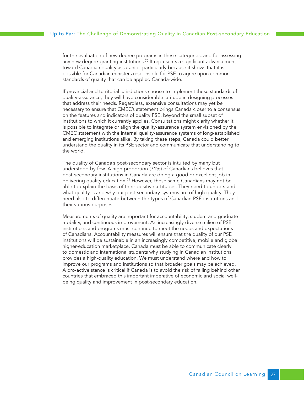for the evaluation of new degree programs in these categories, and for assessing any new degree-granting institutions.<sup>70</sup> It represents a significant advancement toward Canadian quality assurance, particularly because it shows that it is possible for Canadian ministers responsible for PSE to agree upon common standards of quality that can be applied Canada-wide.

If provincial and territorial jurisdictions choose to implement these standards of quality-assurance, they will have considerable latitude in designing processes that address their needs. Regardless, extensive consultations may yet be necessary to ensure that CMEC's statement brings Canada closer to a consensus on the features and indicators of quality PSE, beyond the small subset of institutions to which it currently applies. Consultations might clarify whether it is possible to integrate or align the quality-assurance system envisioned by the CMEC statement with the internal quality-assurance systems of long-established and emerging institutions alike. By taking these steps, Canada could better understand the quality in its PSE sector and communicate that understanding to the world.

The quality of Canada's post-secondary sector is intuited by many but understood by few. A high proportion (71%) of Canadians believes that post-secondary institutions in Canada are doing a good or excellent job in delivering quality education.<sup>71</sup> However, these same Canadians may not be able to explain the basis of their positive attitudes. They need to understand what quality is and why our post-secondary systems are of high quality. They need also to differentiate between the types of Canadian PSE institutions and their various purposes.

Measurements of quality are important for accountability, student and graduate mobility, and continuous improvement. An increasingly diverse milieu of PSE institutions and programs must continue to meet the needs and expectations of Canadians. Accountability measures will ensure that the quality of our PSE institutions will be sustainable in an increasingly competitive, mobile and global higher-education marketplace. Canada must be able to communicate clearly to domestic and international students why studying in Canadian institutions provides a high-quality education. We must understand where and how to improve our programs and institutions so that broader goals may be achieved. A pro-active stance is critical if Canada is to avoid the risk of falling behind other countries that embraced this important imperative of economic and social wellbeing quality and improvement in post-secondary education.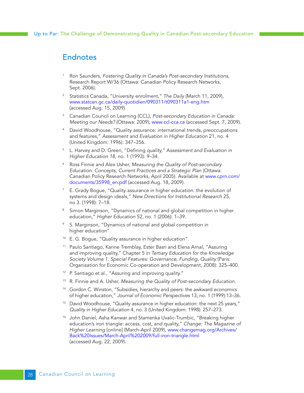## <span id="page-27-0"></span>Endnotes

- <sup>1</sup> Ron Saunders, *Fostering Quality in Canada's Post-secondary Institutions,* Research Report W/36 (Ottawa: Canadian Policy Research Networks, Sept. 2006).
- <sup>2</sup> Statistics Canada, "University enrolment," *The Daily* (March 11, 2009), www.statcan.gc.ca/daily-quotidien/090311/t090311a1-eng.htm (accessed Aug. 15, 2009).
- <sup>3</sup> Canadian Council on Learning (CCL), *Post-secondary Education in Canada: Meeting our Needs?* (Ottawa: 2009), www.ccl-cca.ca (accessed Sept. 7, 2009).
- David Woodhouse, "Quality assurance: international trends, preoccupations and features," *Assessment and Evaluation in Higher Education* 21, no. 4 (United Kingdom: 1996): 347–356.
- <sup>5</sup> L. Harvey and D. Green, "Defining quality," A*ssessment and Evaluation in Higher Education 18*, no. 1 (1993): 9–34.
- <sup>6</sup> Ross Finnie and Alex Usher, *Measuring the Quality of Post-secondary Education: Concepts, Current Practices and a Strategic Plan* (Ottawa: Canadian Policy Research Networks, April 2005). Available at www.cprn.com/ documents/35998\_en.pdf (accessed Aug. 18, 2009).
- $7$  E. Grady Bogue, "Quality assurance in higher education: the evolution of systems and design ideals," *New Directions for Institutional Research* 25, no 3. (1998): 7–18.
- <sup>8</sup> Simon Marginson, "Dynamics of national and global competition in higher education," *Higher Education* 52, no. 1 (2006): 1–39.
- S. Marginson, "Dynamics of national and global competition in higher education".
- <sup>10</sup> E. G. Bogue, "Quality assurance in higher education".
- <sup>11</sup> Paulo Santiago, Karine Tremblay, Ester Basri and Elena Arnal, "Assuring and improving quality," Chapter 5 in *Tertiary Education for the Knowledge Society Volume 1. Special Features: Governance, Funding, Quality* (Paris: Organisation for Economic Co-operation and Development, 2008): 325–400.
- <sup>12</sup> P. Santiago et al., "Assuring and improving quality."
- <sup>13</sup> R. Finnie and A. Usher, *Measuring the Quality of Post-secondary Education*.
- <sup>14</sup> Gordon C. Winston, "Subsidies, hierarchy and peers: the awkward economics of higher education," *Journal of Economic Perspectives* 13, no. 1 (1999):13–36.
- <sup>15</sup> David Woodhouse, "Quality assurance in higher education: the next 25 years," *Quality in Higher Education* 4, no. 3 (United Kingdom: 1998): 257–273.
- <sup>16</sup> John Daniel, Asha Kanwar and Stamenka Uvalic-Trumbic, "Breaking higher education's iron triangle: access, cost, and quality," *Change: The Magazine of Higher Learning* [online] (March-April 2009), www.changemag.org/Archives/ Back%20Issues/March-April%202009/full-iron-triangle.html (accessed Aug. 22, 2009).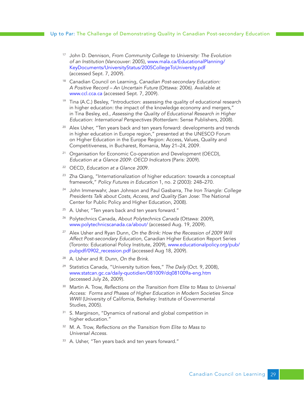- <sup>17</sup> John D. Dennison, *From Community College to University: The Evolution of an Institution* (Vancouver: 2005), www.mala.ca/EducationalPlanning/ KeyDocuments/UniversityStatus/2005CollegeToUniversity.pdf (accessed Sept. 7, 2009).
- <sup>18</sup> Canadian Council on Learning, *Canadian Post-secondary Education: A Positive Record – An Uncertain Future* (Ottawa: 2006). Available at www.ccl.cca.ca (accessed Sept. 7, 2009).
- <sup>19</sup> Tina (A.C.) Besley, "Introduction: assessing the quality of educational research in higher education: the impact of the knowledge economy and mergers," in Tina Besley, ed., *Assessing the Quality of Educational Research in Higher Education: International Perspectives* (Rotterdam: Sense Publishers, 2008).
- <sup>20</sup> Alex Usher, "Ten years back and ten years forward: developments and trends in higher education in Europe region," presented at the UNESCO Forum on Higher Education in the Europe Region: Access, Values, Quality and Competitiveness, in Bucharest, Romania, May 21–24, 2009.
- <sup>21</sup> Organisation for Economic Co-operation and Development (OECD), *Education at a Glance 2009: OECD Indicators* (Paris: 2009).
- <sup>22</sup> OECD, *Education at a Glance 200*9.
- <sup>23</sup> Zha Qiang, "Internationalization of higher education: towards a conceptual framework," *Policy Futures in Education* 1, no. 2 (2003): 248–270.
- <sup>24</sup> John Immerwahr, Jean Johnson and Paul Gasbarra, *The Iron Triangle: College Presidents Talk about Costs, Access, and Quality* (San Jose: The National Center for Public Policy and Higher Education, 2008).
- <sup>25</sup> A. Usher, "Ten years back and ten years forward."
- <sup>26</sup> Polytechnics Canada, *About Polytechnics Canada* (Ottawa: 2009), www.polytechnicscanada.ca/about/ (accessed Aug. 19, 2009).
- <sup>27</sup> Alex Usher and Ryan Dunn, *On the Brink: How the Recession of 2009 Will Affect Post-secondary Education*, Canadian Higher Education Report Series (Toronto: Educational Policy Institute, 2009), www.educationalpolicy.org/pub/ pubpdf/0902\_recession.pdf (accessed Aug 18, 2009).
- <sup>28</sup> A. Usher and R. Dunn, *On the Brink*.
- <sup>29</sup> Statistics Canada, "University tuition fees," *The Daily* (Oct. 9, 2008), www.statcan.gc.ca/daily-quotidien/081009/dq081009a-eng.htm (accessed July 26, 2009).
- <sup>30</sup> Martin A. Trow, *Reflections on the Transition from Elite to Mass to Universal Access: Forms and Phases of Higher Education in Modern Societies Since WWII* (University of California, Berkeley: Institute of Governmental Studies, 2005).
- <sup>31</sup> S. Marginson, "Dynamics of national and global competition in higher education."
- <sup>32</sup> M. A. Trow, *Reflections on the Transition from Elite to Mass to Universal Access.*
- 33 A. Usher, "Ten years back and ten years forward."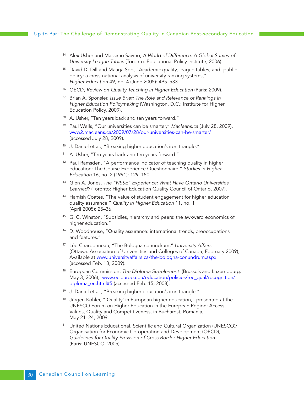- <sup>34</sup> Alex Usher and Massimo Savino, *A World of Difference: A Global Survey of University League Tables* (Toronto: Educational Policy Institute, 2006).
- <sup>35</sup> David D. Dill and Maarja Soo, "Academic quality, league tables, and public policy: a cross-national analysis of university ranking systems," *Higher Education* 49, no. 4 (June 2005): 495–533.
- <sup>36</sup> OECD, *Review on Quality Teaching in Higher Education* (Paris: 2009).
- <sup>37</sup> Brian A. Sponsler, *Issue Brief: The Role and Relevance of Rankings in Higher Education Policymaking* (Washington, D.C.: Institute for Higher Education Policy, 2009).
- 38 A. Usher, "Ten years back and ten years forward."
- <sup>39</sup> Paul Wells, "Our universities can be smarter," *Macleans.ca* (July 28, 2009), www2.macleans.ca/2009/07/28/our-universities-can-be-smarter/ (accessed July 28, 2009).
- <sup>40</sup> J. Daniel et al., "Breaking higher education's iron triangle."
- <sup>41</sup> A. Usher, "Ten years back and ten years forward."
- <sup>42</sup> Paul Ramsden, "A performance indicator of teaching quality in higher education: The Course Experience Questionnaire," *Studies in Higher Education* 16, no. 2 (1991): 129–150.
- <sup>43</sup> Glen A. Jones, *The "NSSE" Experience: What Have Ontario Universities Learned?* (Toronto: Higher Education Quality Council of Ontario, 2007).
- <sup>44</sup> Hamish Coates, "The value of student engagement for higher education quality assurance," *Quality in Higher Education* 11, no. 1 (April 2005): 25–36.
- <sup>45</sup> G. C. Winston, "Subsidies, hierarchy and peers: the awkward economics of higher education."
- <sup>46</sup> D. Woodhouse, "Quality assurance: international trends, preoccupations and features."
- <sup>47</sup> Léo Charbonneau, "The Bologna conundrum," *University Affairs* (Ottawa: Association of Universities and Colleges of Canada, February 2009), Available at www.universityaffairs.ca/the-bologna-conundrum.aspx (accessed Feb. 13, 2009).
- <sup>48</sup> European Commission, *The Diploma Supplement* (Brussels and Luxembourg: May 3, 2006), www.ec.europa.eu/education/policies/rec\_qual/recognition/ diploma\_en.html#5 (accessed Feb. 15, 2008).
- <sup>49</sup> J. Daniel et al., "Breaking higher education's iron triangle."
- <sup>50</sup> Jürgen Kohler, "'Quality' in European higher education," presented at the UNESCO Forum on Higher Education in the European Region: Access, Values, Quality and Competitiveness, in Bucharest, Romania, May 21–24, 2009.
- <sup>51</sup> United Nations Educational, Scientific and Cultural Organization (UNESCO)/ Organisation for Economic Co-operation and Development (OECD), *Guidelines for Quality Provision of Cross Border Higher Education*  (Paris: UNESCO, 2005).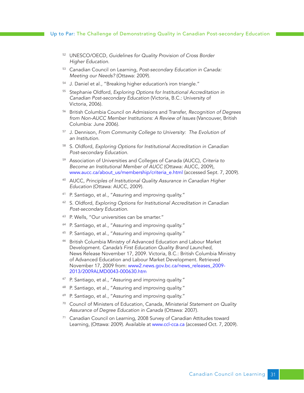- <sup>52</sup> UNESCO/OECD, *Guidelines for Quality Provision of Cross Border Higher Education*.
- <sup>53</sup> Canadian Council on Learning, *Post-secondary Education in Canada: Meeting our Needs?* (Ottawa: 2009).
- <sup>54</sup> J. Daniel et al., "Breaking higher education's iron triangle."
- <sup>55</sup> Stephanie Oldford, *Exploring Options for Institutional Accreditation in Canadian Post-secondary Education* (Victoria, B.C.: University of Victoria, 2006).
- <sup>56</sup> British Columbia Council on Admissions and Transfer, *Recognition of Degrees from Non-AUCC Member Institutions: A Review of Issues* (Vancouver, British Columbia: June 2006).
- <sup>57</sup> J. Dennison, *From Community College to University: The Evolution of an Institution*.
- <sup>58</sup> S. Oldford, *Exploring Options for Institutional Accreditation in Canadian Post-secondary Education.*
- <sup>59</sup> Association of Universities and Colleges of Canada (AUCC), *Criteria to Become an Institutional Member of AUCC* (Ottawa: AUCC, 2009), www.aucc.ca/about\_us/membership/criteria\_e.html (accessed Sept. 7, 2009).
- <sup>60</sup> AUCC, *Principles of Institutional Quality Assurance in Canadian Higher Education* (Ottawa: AUCC, 2009).
- <sup>61</sup> P. Santiago, et al., "Assuring and improving quality."
- <sup>62</sup> S. Oldford, *Exploring Options for Institutional Accreditation in Canadian Post-secondary Education*.
- <sup>63</sup> P. Wells, "Our universities can be smarter."
- <sup>64</sup> P. Santiago, et al., "Assuring and improving quality."
- <sup>65</sup> P. Santiago, et al., "Assuring and improving quality."
- <sup>66</sup> British Columbia Ministry of Advanced Education and Labour Market Development. *Canada's First Education Quality Brand Launched*, News Release November 17, 2009. Victoria, B.C.: British Columbia Ministry of Advanced Education and Labour Market Development. Retrieved November 17, 2009 from: www2.news.gov.bc.ca/news\_releases\_2009-2013/2009ALMD0043-000630.htm
- <sup>67</sup> P. Santiago, et al., "Assuring and improving quality."
- <sup>68</sup> P. Santiago, et al., "Assuring and improving quality."
- <sup>69</sup> P. Santiago, et al., "Assuring and improving quality."
- <sup>70</sup> Council of Ministers of Education, Canada, *Ministerial Statement on Quality Assurance of Degree Education in Canada* (Ottawa: 2007).
- <sup>71</sup> Canadian Council on Learning, 2008 Survey of Canadian Attitudes toward Learning, (Ottawa: 2009). Available at www.ccl-cca.ca (accessed Oct. 7, 2009).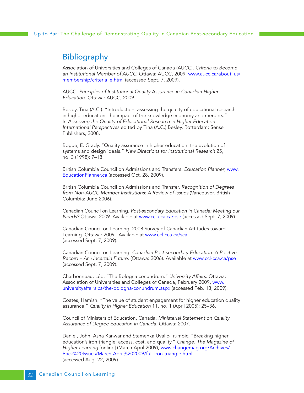# <span id="page-31-0"></span>**Bibliography**

Association of Universities and Colleges of Canada (AUCC). *Criteria to Become an Institutional Member of AUCC*. Ottawa: AUCC, 2009, www.aucc.ca/about\_us/ membership/criteria\_e.html (accessed Sept. 7, 2009).

AUCC. *Principles of Institutional Quality Assurance in Canadian Higher Education*. Ottawa: AUCC, 2009.

Besley, Tina (A.C.). "Introduction: assessing the quality of educational research in higher education: the impact of the knowledge economy and mergers." In *Assessing the Quality of Educational Research in Higher Education: International Perspectives* edited by Tina (A.C.) Besley. Rotterdam: Sense Publishers, 2008.

Bogue, E. Grady. "Quality assurance in higher education: the evolution of systems and design ideals." *New Directions for Institutional Research* 25, no. 3 (1998): 7–18.

British Columbia Council on Admissions and Transfers. *Education Planner*, www. EducationPlanner.ca (accessed Oct. 28, 2009).

British Columbia Council on Admissions and Transfer. *Recognition of Degrees from Non-AUCC Member Institutions: A Review of Issues* (Vancouver, British Columbia: June 2006).

Canadian Council on Learning. *Post-secondary Education in Canada: Meeting our Needs?* Ottawa: 2009. Available at www.ccl-cca.ca/pse (accessed Sept. 7, 2009).

Canadian Council on Learning. 2008 Survey of Canadian Attitudes toward Learning. Ottawa: 2009. Available at www.ccl-cca.ca/scal (accessed Sept. 7, 2009).

Canadian Council on Learning. *Canadian Post-secondary Education: A Positive Record – An Uncertain Future*. (Ottawa: 2006). Available at www.ccl-cca.ca/pse (accessed Sept. 7, 2009).

Charbonneau, Léo. "The Bologna conundrum." *University Affairs.* Ottawa: Association of Universities and Colleges of Canada, February 2009, www. universityaffairs.ca/the-bologna-conundrum.aspx (accessed Feb. 13, 2009).

Coates, Hamish. "The value of student engagement for higher education quality assurance." *Quality in Higher Education* 11, no. 1 (April 2005): 25–36.

Council of Ministers of Education, Canada. *Ministerial Statement on Quality Assurance of Degree Education in Canada*. Ottawa: 2007.

Daniel, John, Asha Kanwar and Stamenka Uvalic-Trumbic. "Breaking higher education's iron triangle: access, cost, and quality." *Change: The Magazine of Higher Learning* [online] (March-April 2009), www.changemag.org/Archives/ Back%20Issues/March-April%202009/full-iron-triangle.html (accessed Aug. 22, 2009).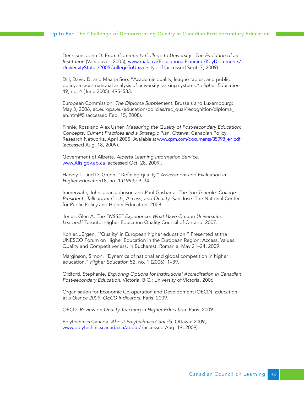#### Up to Par: The Challenge of Demonstrating Quality in Canadian Post-secondary Education

Dennison, John D. F*rom Community College to University: The Evolution of an Institution* (Vancouver: 2005), www.mala.ca/EducationalPlanning/KeyDocuments/ UniversityStatus/2005CollegeToUniversity.pdf (accessed Sept. 7, 2009).

Dill, David D. and Maarja Soo. "Academic quality, league tables, and public policy: a cross-national analysis of university ranking systems." *Higher Education* 49, no. 4 (June 2005): 495–533.

European Commission. *The Diploma Supplement*. Brussels and Luxembourg: May 3, 2006, ec.europa.eu/education/policies/rec\_qual/recognition/diploma\_ en.html#5 (accessed Feb. 15, 2008).

Finnie, Ross and Alex Usher. *Measuring the Quality of Post-secondary Education: Concepts, Current Practices and a Strategic Plan*. Ottawa: Canadian Policy Research Networks, April 2005. Available at www.cprn.com/documents/35998\_en.pdf (accessed Aug. 18, 2009).

Government of Alberta. *Alberta Learning Information Service*, www.Alis.gov.ab.ca (accessed Oct. 28, 2009).

Harvey, L. and D. Green. "Defining quality." *Assessment and Evaluation in Higher Education*18, no. 1 (1993): 9–34.

Immerwahr, John, Jean Johnson and Paul Gasbarra. *The Iron Triangle: College Presidents Talk about Costs, Access, and Quality*. San Jose: The National Center for Public Policy and Higher Education, 2008.

Jones, Glen A. *The "NSSE" Experience: What Have Ontario Universities Learned?* Toronto: Higher Education Quality Council of Ontario, 2007.

Kohler, Jürgen. "'Quality' in European higher education." Presented at the UNESCO Forum on Higher Education in the European Region: Access, Values, Quality and Competitiveness, in Bucharest, Romania, May 21–24, 2009.

Marginson, Simon. "Dynamics of national and global competition in higher education." *Higher Education* 52, no. 1 (2006): 1–39.

Oldford, Stephanie. *Exploring Options for Institutional Accreditation in Canadian Post-secondary Education*. Victoria, B.C.: University of Victoria, 2006.

Organisation for Economic Co-operation and Development (OECD). *Education at a Glance 2009: OECD Indicators*. Paris: 2009.

OECD. *Review on Quality Teaching in Higher Education*. Paris: 2009.

Polytechnics Canada. *About Polytechnics Canada*. Ottawa: 2009, www.polytechnicscanada.ca/about/ (accessed Aug. 19, 2009).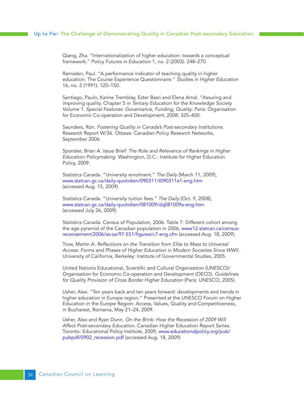Qiang, Zha. "Internationalization of higher education: towards a conceptual framework." *Policy Futures in Education* 1, no. 2 (2003): 248–270.

Ramsden, Paul. "A performance indicator of teaching quality in higher education: The Course Experience Questionnaire." *Studies in Higher Education* 16, no. 2 (1991): 120–150.

Santiago, Paulo, Karine Tremblay, Ester Basri and Elena Arnal. "Assuring and improving quality. Chapter 5 in *Tertiary Education for the Knowledge Society Volume 1. Special Features: Governance, Funding, Quality*. Paris: Organisation for Economic Co-operation and Development, 2008: 325–400.

Saunders, Ron. *Fostering Quality in Canada's Post-secondary Institutions*. Research Report W/36. Ottawa: Canadian Policy Research Networks, September 2006.

Sponsler, Brian A. *Issue Brief: The Role and Relevance of Rankings in Higher Education Policymaking*. Washington, D.C.: Institute for Higher Education Policy, 2009.

Statistics Canada. "University enrolment." *The Daily* (March 11, 2009), www.statcan.gc.ca/daily-quotidien/090311/t090311a1-eng.htm (accessed Aug. 15, 2009).

Statistics Canada. "University tuition fees." *The Daily* (Oct. 9, 2008), www.statcan.gc.ca/daily-quotidien/081009/dq081009a-eng.htm (accessed July 26, 2009).

Statistics Canada. Census of Population, 2006. Table 7: Different cohort among the age pyramid of the Canadian population in 2006, www12.statcan.ca/censusrecensement/2006/as-sa/97-551/figures/c7-eng.cfm (accessed Aug. 18, 2009).

Trow, Martin A. *Reflections on the Transition from Elite to Mass to Universal Access: Forms and Phases of Higher Education in Modern Societies Since WWII*. University of California, Berkeley: Institute of Governmental Studies, 2005.

United Nations Educational, Scientific and Cultural Organization (UNESCO)/ Organisation for Economic Co-operation and Development (OECD). *Guidelines for Quality Provision of Cross Border Higher Education* (Paris: UNESCO, 2005).

Usher, Alex. "Ten years back and ten years forward: developments and trends in higher education in Europe region." Presented at the UNESCO Forum on Higher Education in the Europe Region: Access, Values, Quality and Competitiveness, in Bucharest, Romania, May 21–24, 2009.

Usher, Alex and Ryan Dunn. *On the Brink: How the Recession of 2009 Will Affect Post-secondary Education*. Canadian Higher Education Report Series. Toronto: Educational Policy Institute, 2009, www.educationalpolicy.org/pub/ pubpdf/0902\_recession.pdf (accessed Aug. 18, 2009)